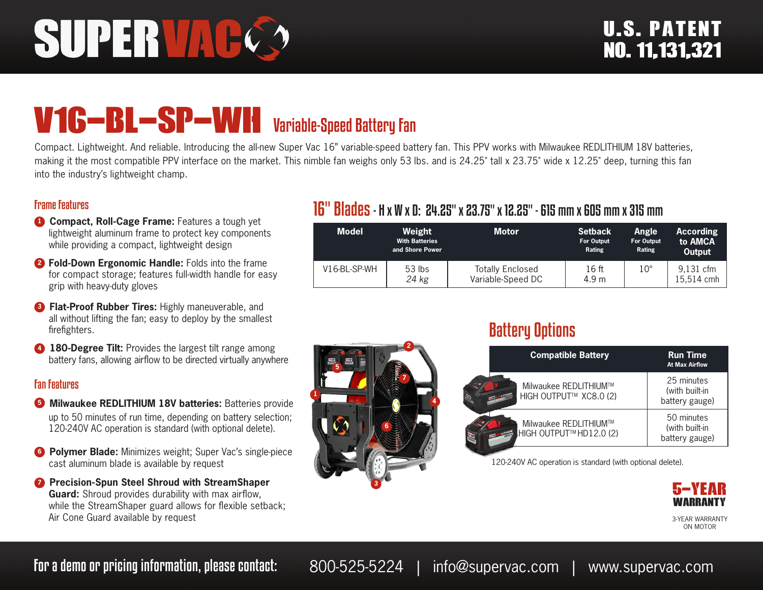# SUPERVAG

## V16-BL-SP-WH Variable-Speed Battery Fan

Compact. Lightweight. And reliable. Introducing the all-new Super Vac 16" variable-speed battery fan. This PPV works with Milwaukee REDLITHIUM 18V batteries, making it the most compatible PPV interface on the market. This nimble fan weighs only 53 lbs. and is 24.25" tall x 23.75" wide x 12.25" deep, turning this fan into the industry's lightweight champ.

#### Frame Features

- **1 Compact, Roll-Cage Frame:** Features a tough yet lightweight aluminum frame to protect key components while providing a compact, lightweight design
- **<sup>2</sup> Fold-Down Ergonomic Handle:** Folds into the frame for compact storage; features full-width handle for easy grip with heavy-duty gloves
- **8 Flat-Proof Rubber Tires:** Highly maneuverable, and all without lifting the fan; easy to deploy by the smallest firefighters.
- **4 180-Degree Tilt:** Provides the largest tilt range among battery fans, allowing airflow to be directed virtually anywhere

#### Fan Features

- **5** Milwaukee REDLITHIUM 18V batteries: Batteries provide up to 50 minutes of run time, depending on battery selection; 120-240V AC operation is standard (with optional delete).
- **6 Polymer Blade:** Minimizes weight; Super Vac's single-piece cast aluminum blade is available by request
- **<sup>7</sup>** Precision-Spun Steel Shroud with StreamShaper **Guard:** Shroud provides durability with max airflow, while the StreamShaper guard allows for flexible setback; Air Cone Guard available by request

### 16" Blades- H x W x D: 24.25" x 23.75" x 12.25" - 615 mm x 605 mm x 315 mm

| <b>Model</b> | Weight<br><b>With Batteries</b><br>and Shore Power | <b>Motor</b>                                 | <b>Setback</b><br><b>For Output</b><br>Rating | Angle<br>For Output<br>Rating | <b>According</b><br>to AMCA<br>Output |
|--------------|----------------------------------------------------|----------------------------------------------|-----------------------------------------------|-------------------------------|---------------------------------------|
| V16-BL-SP-WH | $53$ lbs<br>24 kg                                  | <b>Totally Enclosed</b><br>Variable-Speed DC | 16 ft<br>4.9 m                                | $10^{\circ}$                  | 9,131 cfm<br>15.514 cmh               |



### Battery Options

| <b>Compatible Battery</b>                       | <b>Run Time</b><br><b>At Max Airflow</b>       |
|-------------------------------------------------|------------------------------------------------|
| Milwaukee REDLITHIUM™<br>HIGH OUTPUT™ XC8.0 (2) | 25 minutes<br>(with built-in<br>battery gauge) |
| Milwaukee REDLITHIUM™<br>HIGH OUTPUT™HD12.0 (2) | 50 minutes<br>(with built-in<br>battery gauge) |

120-240V AC operation is standard (with optional delete).



ON MOTOR